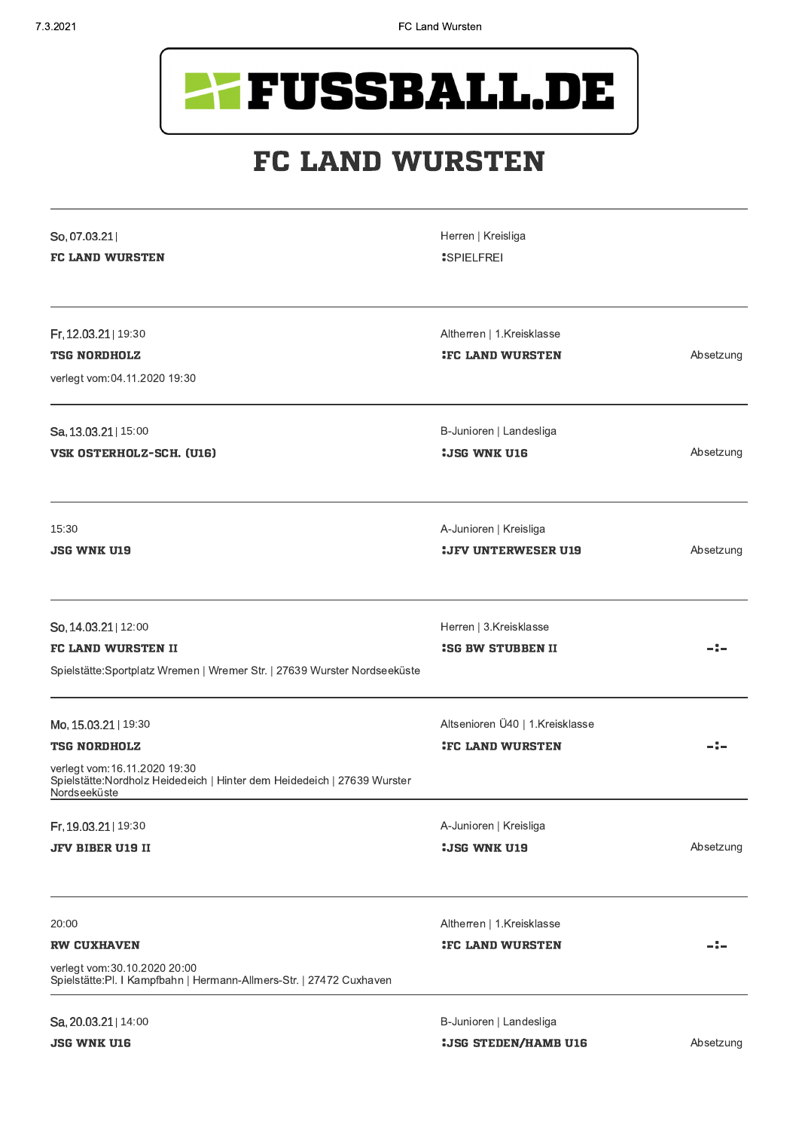

## **FC LAND WURSTEN**

| So, 07.03.21<br><b>FC LAND WURSTEN</b>                                                                                                                                  | Herren   Kreisliga<br><b>SPIELFREI</b>                     |           |
|-------------------------------------------------------------------------------------------------------------------------------------------------------------------------|------------------------------------------------------------|-----------|
| Fr, 12.03.21   19:30<br><b>TSG NORDHOLZ</b><br>verlegt vom:04.11.2020 19:30                                                                                             | Altherren   1.Kreisklasse<br><b>IFC LAND WURSTEN</b>       | Absetzung |
| Sa, 13.03.21   15:00<br><b>VSK OSTERHOLZ-SCH. (U16)</b>                                                                                                                 | B-Junioren   Landesliga<br><b>:JSG WNK U16</b>             | Absetzung |
| 15:30<br>JSG WNK U19                                                                                                                                                    | A-Junioren   Kreisliga<br><b>:JFV UNTERWESER U19</b>       | Absetzung |
| So, 14.03.21   12:00<br><b>FC LAND WURSTEN II</b><br>Spielstätte: Sportplatz Wremen   Wremer Str.   27639 Wurster Nordseeküste                                          | Herren   3.Kreisklasse<br><b>ISG BW STUBBEN II</b>         |           |
| Mo, 15.03.21   19:30<br><b>TSG NORDHOLZ</b><br>verlegt vom:16.11.2020 19:30<br>Spielstätte: Nordholz Heidedeich   Hinter dem Heidedeich   27639 Wurster<br>Nordseeküste | Altsenioren Ü40   1.Kreisklasse<br><b>IFC LAND WURSTEN</b> |           |
| Fr, 19.03.21   19:30<br><b>JFV BIBER U19 II</b>                                                                                                                         | A-Junioren   Kreisliga<br><b>:JSG WNK U19</b>              | Absetzung |
| 20:00<br><b>RW CUXHAVEN</b><br>verlegt vom:30.10.2020 20:00<br>Spielstätte: Pl. I Kampfbahn   Hermann-Allmers-Str.   27472 Cuxhaven                                     | Altherren   1.Kreisklasse<br><b>IFC LAND WURSTEN</b>       |           |
| Sa, 20.03.21   14:00                                                                                                                                                    | B-Junioren   Landesliga                                    |           |

**JSG WNK U16** 

**: JSG STEDEN/HAMB U16**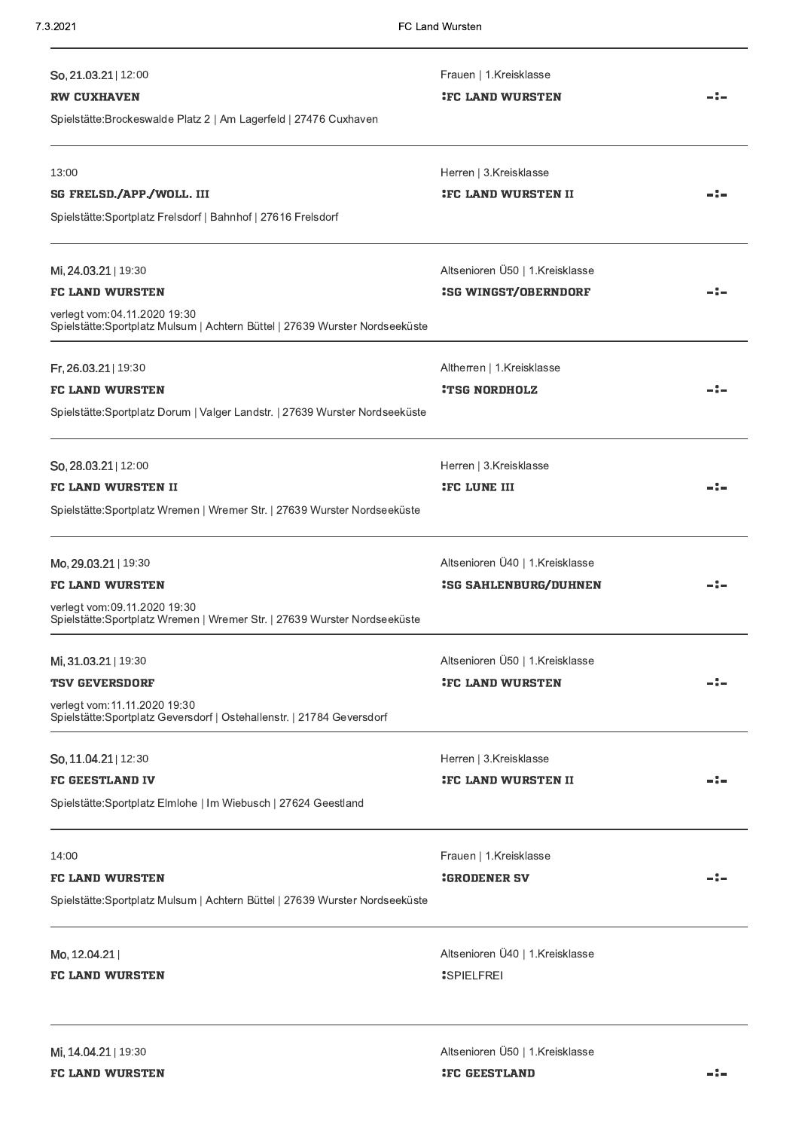| 7.3.2021                                                                                                                                                       | FC Land Wursten                                                 |     |
|----------------------------------------------------------------------------------------------------------------------------------------------------------------|-----------------------------------------------------------------|-----|
| So, 21.03.21   12:00<br><b>RW CUXHAVEN</b><br>Spielstätte: Brockeswalde Platz 2   Am Lagerfeld   27476 Cuxhaven                                                | Frauen   1.Kreisklasse<br><b>IFC LAND WURSTEN</b>               |     |
| 13:00<br><b>SG FRELSD./APP./WOLL. III</b><br>Spielstätte: Sportplatz Frelsdorf   Bahnhof   27616 Frelsdorf                                                     | Herren   3.Kreisklasse<br><b>IFC LAND WURSTEN II</b>            |     |
| Mi, 24.03.21   19:30<br><b>FC LAND WURSTEN</b><br>verlegt vom:04.11.2020 19:30<br>Spielstätte: Sportplatz Mulsum   Achtern Büttel   27639 Wurster Nordseeküste | Altsenioren Ü50   1.Kreisklasse<br><b>:SG WINGST/OBERNDORF</b>  |     |
| Fr, 26.03.21   19:30<br><b>FC LAND WURSTEN</b><br>Spielstätte: Sportplatz Dorum   Valger Landstr.   27639 Wurster Nordseeküste                                 | Altherren   1.Kreisklasse<br><b>:TSG NORDHOLZ</b>               |     |
| So, 28.03.21   12:00<br><b>FC LAND WURSTEN II</b><br>Spielstätte: Sportplatz Wremen   Wremer Str.   27639 Wurster Nordseeküste                                 | Herren   3.Kreisklasse<br><b>IFC LUNE III</b>                   |     |
| Mo, 29.03.21   19:30<br><b>FC LAND WURSTEN</b><br>verlegt vom:09.11.2020 19:30<br>Spielstätte: Sportplatz Wremen   Wremer Str.   27639 Wurster Nordseeküste    | Altsenioren Ü40   1.Kreisklasse<br><b>:SG SAHLENBURG/DUHNEN</b> | -:- |
| Mi, 31.03.21   19:30<br><b>TSV GEVERSDORF</b><br>verlegt vom:11.11.2020 19:30<br>Spielstätte: Sportplatz Geversdorf   Ostehallenstr.   21784 Geversdorf        | Altsenioren Ü50   1.Kreisklasse<br><b>:FC LAND WURSTEN</b>      |     |
| So, 11.04.21   12:30<br><b>FC GEESTLAND IV</b><br>Spielstätte: Sportplatz Elmlohe   Im Wiebusch   27624 Geestland                                              | Herren   3.Kreisklasse<br><b>:</b> FC LAND WURSTEN II           |     |
| 14:00<br><b>FC LAND WURSTEN</b><br>Spielstätte: Sportplatz Mulsum   Achtern Büttel   27639 Wurster Nordseeküste                                                | Frauen   1.Kreisklasse<br><b>:GRODENER SV</b>                   |     |
| Mo, 12.04.21<br><b>FC LAND WURSTEN</b>                                                                                                                         | Altsenioren Ü40   1.Kreisklasse<br><b>SPIELFREI</b>             |     |
| Mi, 14.04.21   19:30<br><b>FC LAND WURSTEN</b>                                                                                                                 | Altsenioren Ü50   1.Kreisklasse<br><b>:FC GEESTLAND</b>         |     |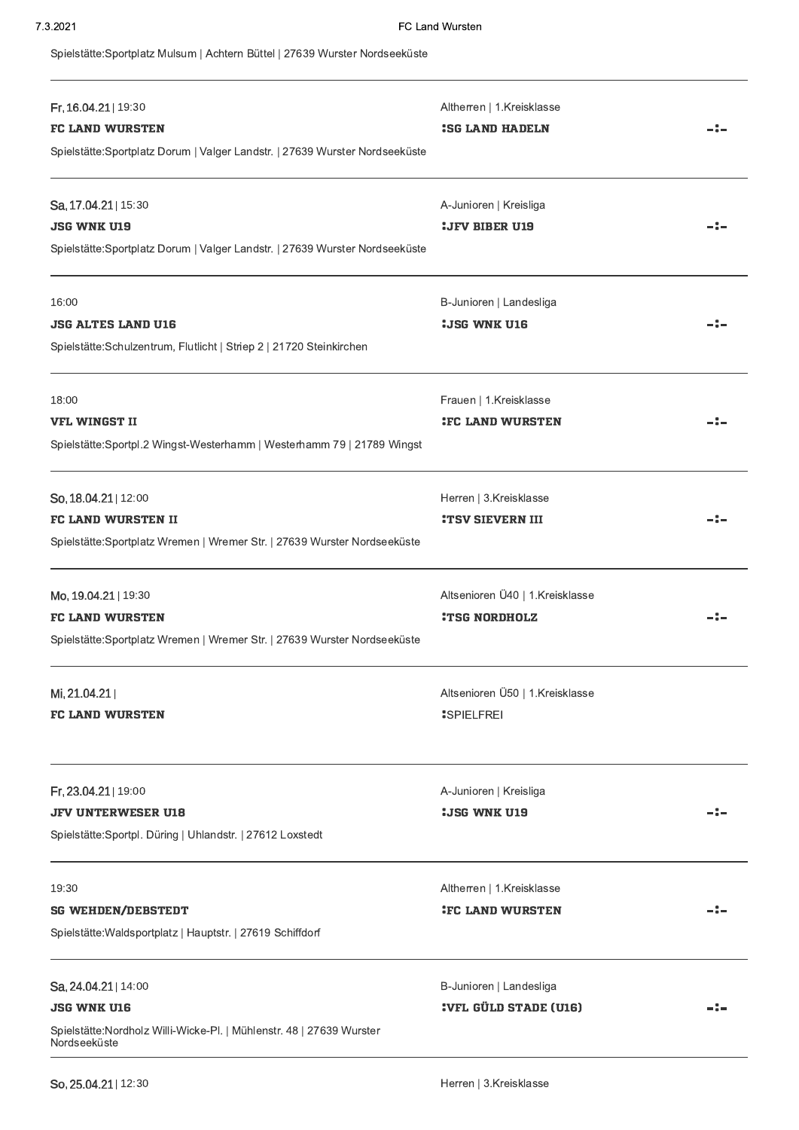Spielstätte:Sportplatz Mulsum | Achtern Büttel | 27639 Wurster Nordseeküste

| Fr, 16.04.21   19:30<br><b>FC LAND WURSTEN</b><br>Spielstätte: Sportplatz Dorum   Valger Landstr.   27639 Wurster Nordseeküste      | Altherren   1.Kreisklasse<br><b>ISG LAND HADELN</b>     |  |
|-------------------------------------------------------------------------------------------------------------------------------------|---------------------------------------------------------|--|
| Sa, 17.04.21   15:30<br><b>JSG WNK U19</b><br>Spielstätte: Sportplatz Dorum   Valger Landstr.   27639 Wurster Nordseeküste          | A-Junioren   Kreisliga<br><b>:JFV BIBER U19</b>         |  |
| 16:00<br><b>JSG ALTES LAND U16</b><br>Spielstätte:Schulzentrum, Flutlicht   Striep 2   21720 Steinkirchen                           | B-Junioren   Landesliga<br><b>:JSG WNK U16</b>          |  |
| 18:00<br><b>VFL WINGST II</b><br>Spielstätte: Sportpl.2 Wingst-Westerhamm   Westerhamm 79   21789 Wingst                            | Frauen   1.Kreisklasse<br><b>IFC LAND WURSTEN</b>       |  |
| So, 18.04.21   12:00<br><b>FC LAND WURSTEN II</b><br>Spielstätte: Sportplatz Wremen   Wremer Str.   27639 Wurster Nordseeküste      | Herren   3.Kreisklasse<br><b>:TSV SIEVERN III</b>       |  |
| Mo, 19.04.21   19:30<br><b>FC LAND WURSTEN</b><br>Spielstätte: Sportplatz Wremen   Wremer Str.   27639 Wurster Nordseeküste         | Altsenioren Ü40   1.Kreisklasse<br><b>:TSG NORDHOLZ</b> |  |
| Mi, 21.04.21<br><b>FC LAND WURSTEN</b>                                                                                              | Altsenioren Ü50   1.Kreisklasse<br><b>SPIELFREI</b>     |  |
| Fr, 23.04.21   19:00<br><b>JFV UNTERWESER U18</b><br>Spielstätte: Sportpl. Düring   Uhlandstr.   27612 Loxstedt                     | A-Junioren   Kreisliga<br><b>:JSG WNK U19</b>           |  |
| 19:30<br><b>SG WEHDEN/DEBSTEDT</b><br>Spielstätte: Waldsportplatz   Hauptstr.   27619 Schiffdorf                                    | Altherren   1.Kreisklasse<br><b>IFC LAND WURSTEN</b>    |  |
| Sa, 24.04.21   14:00<br><b>JSG WNK U16</b><br>Spielstätte: Nordholz Willi-Wicke-Pl.   Mühlenstr. 48   27639 Wurster<br>Nordseeküste | B-Junioren   Landesliga<br><b>:VFL GÜLD STADE (U16)</b> |  |

So, 25.04.21 | 12:30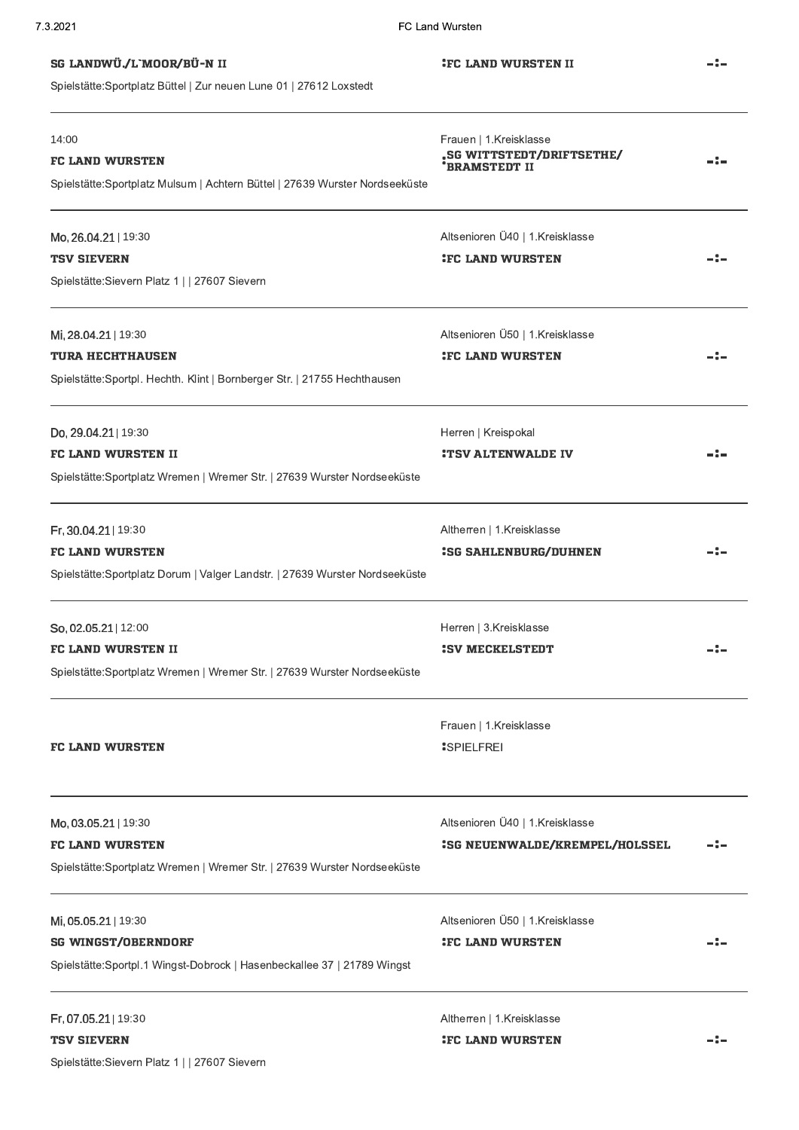| 7.3.2021                                                                                         | FC Land Wursten                                                      |       |
|--------------------------------------------------------------------------------------------------|----------------------------------------------------------------------|-------|
| SG LANDWÜ./L`MOOR/BÜ-N II<br>Spielstätte: Sportplatz Büttel   Zur neuen Lune 01   27612 Loxstedt | <b>IFC LAND WURSTEN II</b>                                           |       |
| 14:00<br><b>FC LAND WURSTEN</b>                                                                  | Frauen   1.Kreisklasse<br>.SG WITTSTEDT/DRIFTSETHE/<br>'BRAMSTEDT II |       |
| Spielstätte: Sportplatz Mulsum   Achtern Büttel   27639 Wurster Nordseeküste                     |                                                                      |       |
| Mo, 26.04.21   19:30                                                                             | Altsenioren Ü40   1.Kreisklasse                                      |       |
| <b>TSV SIEVERN</b>                                                                               | <b>IFC LAND WURSTEN</b>                                              |       |
| Spielstätte: Sievern Platz 1     27607 Sievern                                                   |                                                                      |       |
| Mi, 28.04.21   19:30                                                                             | Altsenioren Ü50   1.Kreisklasse                                      |       |
| <b>TURA HECHTHAUSEN</b>                                                                          | <b>IFC LAND WURSTEN</b>                                              |       |
| Spielstätte: Sportpl. Hechth. Klint   Bornberger Str.   21755 Hechthausen                        |                                                                      |       |
| Do, 29.04.21   19:30                                                                             | Herren   Kreispokal                                                  |       |
| <b>FC LAND WURSTEN II</b>                                                                        | <b>:TSV ALTENWALDE IV</b>                                            |       |
| Spielstätte:Sportplatz Wremen   Wremer Str.   27639 Wurster Nordseeküste                         |                                                                      |       |
| Fr, 30.04.21   19:30                                                                             | Altherren   1.Kreisklasse                                            |       |
| <b>FC LAND WURSTEN</b>                                                                           | <b>:SG SAHLENBURG/DUHNEN</b>                                         | - : - |
| Spielstätte: Sportplatz Dorum   Valger Landstr.   27639 Wurster Nordseeküste                     |                                                                      |       |
| So, 02.05.21   12:00                                                                             | Herren   3.Kreisklasse                                               |       |
| <b>FC LAND WURSTEN II</b>                                                                        | : SV MECKELSTEDT                                                     |       |
| Spielstätte:Sportplatz Wremen   Wremer Str.   27639 Wurster Nordseeküste                         |                                                                      |       |
|                                                                                                  | Frauen   1.Kreisklasse                                               |       |
| <b>FC LAND WURSTEN</b>                                                                           | <b>SPIELFREI</b>                                                     |       |
| Mo, 03.05.21   19:30                                                                             | Altsenioren Ü40   1.Kreisklasse                                      |       |
| <b>FC LAND WURSTEN</b>                                                                           | <b>ISG NEUENWALDE/KREMPEL/HOLSSEL</b>                                |       |
| Spielstätte:Sportplatz Wremen   Wremer Str.   27639 Wurster Nordseeküste                         |                                                                      |       |
| Mi, 05.05.21   19:30                                                                             | Altsenioren Ü50   1.Kreisklasse                                      |       |
| <b>SG WINGST/OBERNDORF</b>                                                                       | <b>:FC LAND WURSTEN</b>                                              |       |
| Spielstätte:Sportpl.1 Wingst-Dobrock   Hasenbeckallee 37   21789 Wingst                          |                                                                      |       |
| Fr, 07.05.21   19:30                                                                             | Altherren   1.Kreisklasse                                            |       |
| <b>TSV SIEVERN</b>                                                                               | <b>IFC LAND WURSTEN</b>                                              |       |
| Spielstätte: Sievern Platz 1     27607 Sievern                                                   |                                                                      |       |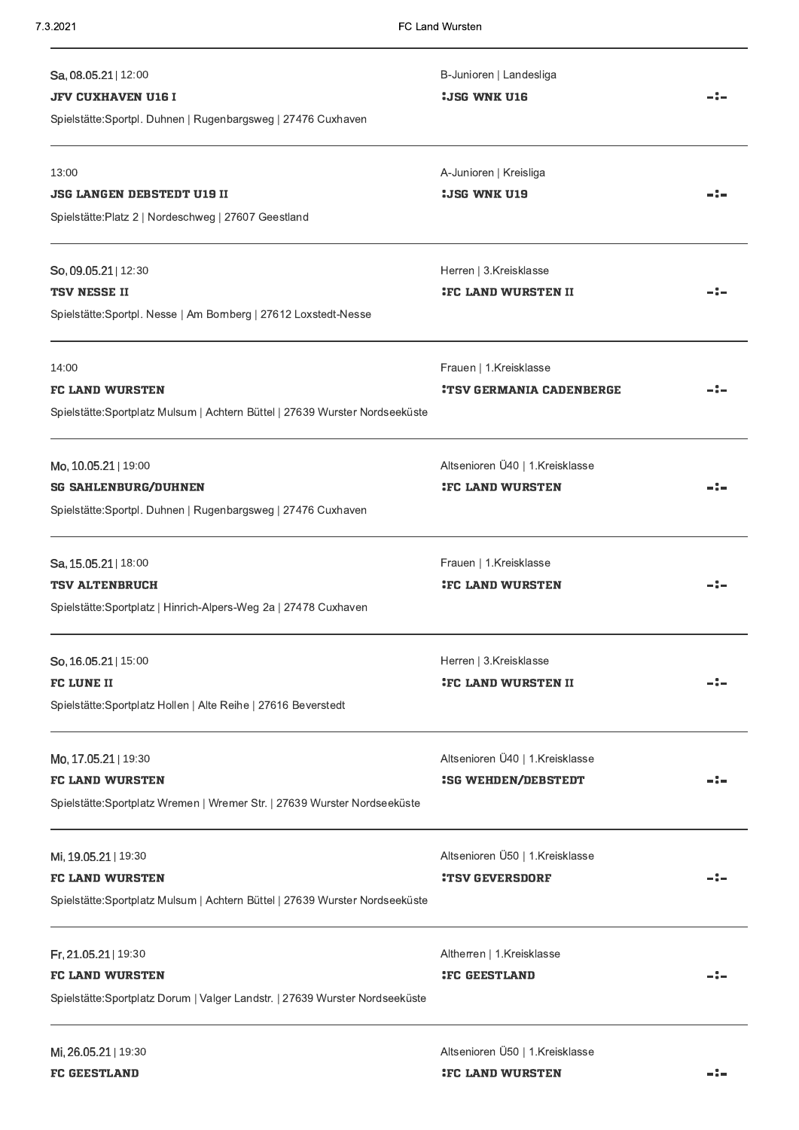| B-Junioren   Landesliga<br><b>:JSG WNK U16</b>                |  |
|---------------------------------------------------------------|--|
| A-Junioren   Kreisliga<br><b>:JSG WNK U19</b>                 |  |
| Herren   3.Kreisklasse<br><b>IFC LAND WURSTEN II</b>          |  |
| Frauen   1.Kreisklasse<br><b>:TSV GERMANIA CADENBERGE</b>     |  |
| Altsenioren Ü40   1.Kreisklasse<br><b>IFC LAND WURSTEN</b>    |  |
| Frauen   1.Kreisklasse<br><b>IFC LAND WURSTEN</b>             |  |
| Herren   3.Kreisklasse<br><b>IEC LAND WURSTEN II</b>          |  |
| Altsenioren Ü40   1.Kreisklasse<br><b>ISG WEHDEN/DEBSTEDT</b> |  |
| Altsenioren Ü50   1.Kreisklasse<br><b>:TSV GEVERSDORF</b>     |  |
| Altherren   1.Kreisklasse<br><b>IFC GEESTLAND</b>             |  |
|                                                               |  |

Altsenioren Ü50 | 1.Kreisklasse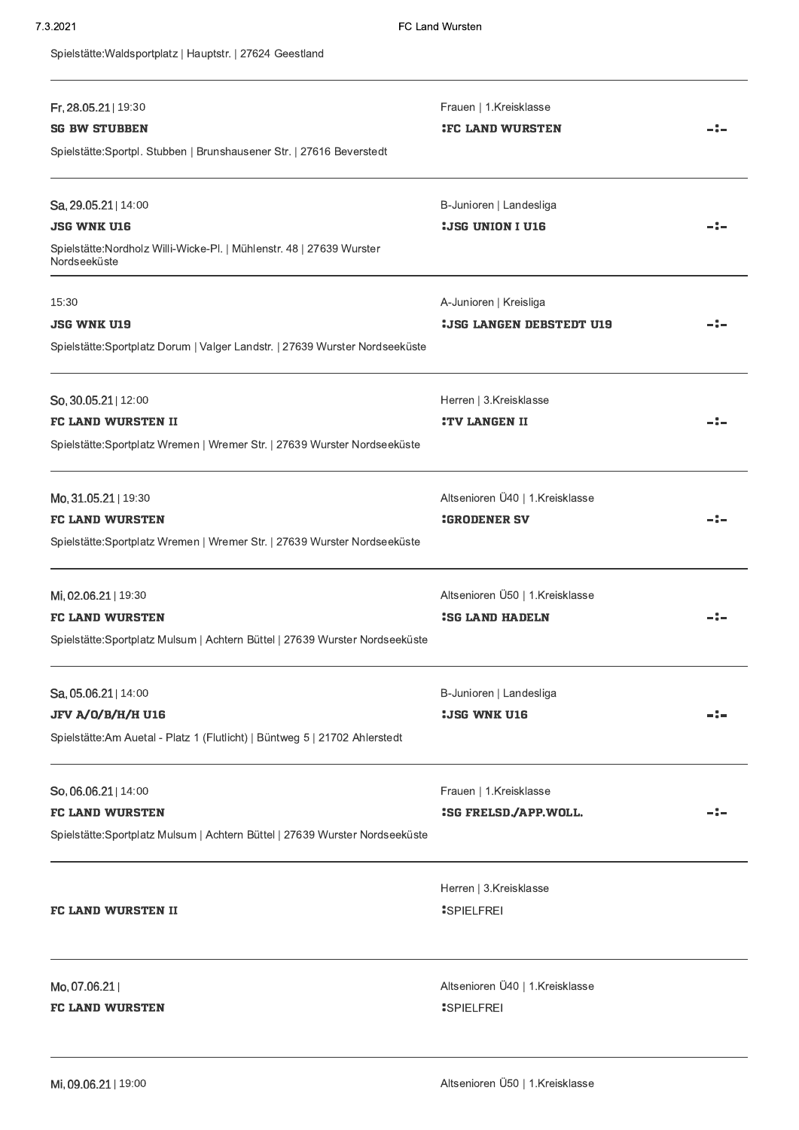Spielstätte: Waldsportplatz | Hauptstr. | 27624 Geestland

| Fr, 28.05.21   19:30<br><b>SG BW STUBBEN</b>                                          | Frauen   1.Kreisklasse<br><b>IFC LAND WURSTEN</b> | -:- |
|---------------------------------------------------------------------------------------|---------------------------------------------------|-----|
| Spielstätte: Sportpl. Stubben   Brunshausener Str.   27616 Beverstedt                 |                                                   |     |
| Sa, 29.05.21   14:00                                                                  | B-Junioren   Landesliga                           |     |
| <b>JSG WNK U16</b>                                                                    | <b>: JSG UNION I U16</b>                          |     |
| Spielstätte: Nordholz Willi-Wicke-Pl.   Mühlenstr. 48   27639 Wurster<br>Nordseeküste |                                                   |     |
| 15:30                                                                                 | A-Junioren   Kreisliga                            |     |
| <b>JSG WNK U19</b>                                                                    | <b>: JSG LANGEN DEBSTEDT U19</b>                  |     |
| Spielstätte: Sportplatz Dorum   Valger Landstr.   27639 Wurster Nordseeküste          |                                                   |     |
| So, 30.05.21   12:00                                                                  | Herren   3.Kreisklasse                            |     |
| <b>FC LAND WURSTEN II</b>                                                             | <b>:TV LANGEN II</b>                              | -:- |
| Spielstätte: Sportplatz Wremen   Wremer Str.   27639 Wurster Nordseeküste             |                                                   |     |
| Mo, 31.05.21   19:30                                                                  | Altsenioren Ü40   1.Kreisklasse                   |     |
| <b>FC LAND WURSTEN</b>                                                                | <b>:GRODENER SV</b>                               |     |
| Spielstätte: Sportplatz Wremen   Wremer Str.   27639 Wurster Nordseeküste             |                                                   |     |
| Mi, 02.06.21   19:30                                                                  | Altsenioren Ü50   1.Kreisklasse                   |     |
| <b>FC LAND WURSTEN</b>                                                                | <b>ISG LAND HADELN</b>                            |     |
| Spielstätte: Sportplatz Mulsum   Achtern Büttel   27639 Wurster Nordseeküste          |                                                   |     |
| $Sa$ , 05.06.21   14:00                                                               | B-Junioren   Landesliga                           |     |
| <b>JFV A/0/B/H/H U16</b>                                                              | <b>:JSG WNK U16</b>                               |     |
| Spielstätte: Am Auetal - Platz 1 (Flutlicht)   Büntweg 5   21702 Ahlerstedt           |                                                   |     |
| So, 06.06.21   14:00                                                                  | Frauen   1.Kreisklasse                            |     |
| <b>FC LAND WURSTEN</b>                                                                | :SG FRELSD./APP.WOLL.                             |     |
| Spielstätte: Sportplatz Mulsum   Achtern Büttel   27639 Wurster Nordseeküste          |                                                   |     |
|                                                                                       | Herren   3.Kreisklasse                            |     |
| <b>FC LAND WURSTEN II</b>                                                             | <b>SPIELFREI</b>                                  |     |
| Mo, 07.06.21                                                                          | Altsenioren Ü40   1.Kreisklasse                   |     |
| <b>FC LAND WURSTEN</b>                                                                | <b>SPIELFREI</b>                                  |     |
|                                                                                       |                                                   |     |